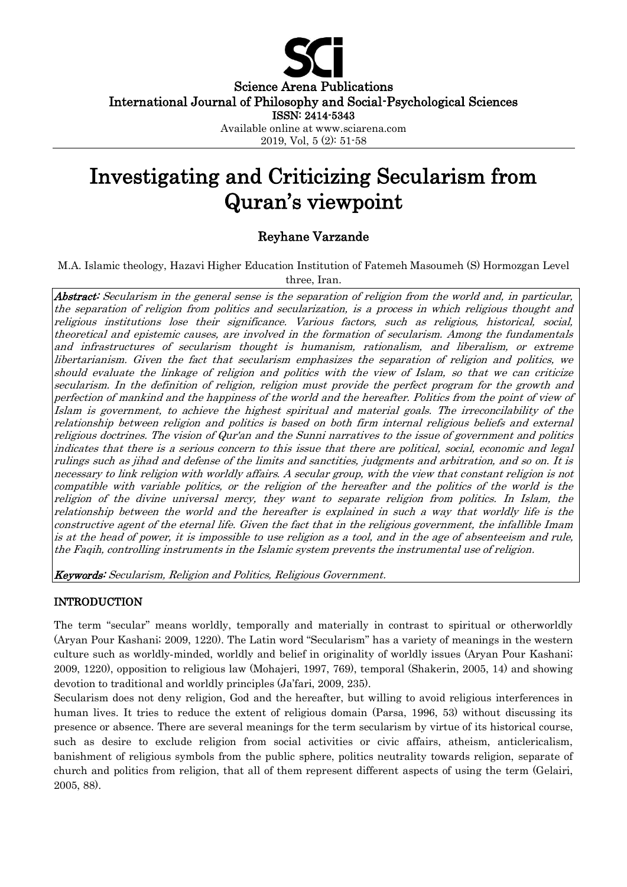

Science Arena Publications

International Journal of Philosophy and Social-Psychological Sciences

ISSN: 2414-5343

Available online at www.sciarena.com

2019, Vol, 5 (2): 51-58

# Investigating and Criticizing Secularism from Quran's viewpoint

## Reyhane Varzande

M.A. Islamic theology, Hazavi Higher Education Institution of Fatemeh Masoumeh (S) Hormozgan Level three, Iran.

Abstract: Secularism in the general sense is the separation of religion from the world and, in particular, the separation of religion from politics and secularization, is a process in which religious thought and religious institutions lose their significance. Various factors, such as religious, historical, social, theoretical and epistemic causes, are involved in the formation of secularism. Among the fundamentals and infrastructures of secularism thought is humanism, rationalism, and liberalism, or extreme libertarianism. Given the fact that secularism emphasizes the separation of religion and politics, we should evaluate the linkage of religion and politics with the view of Islam, so that we can criticize secularism. In the definition of religion, religion must provide the perfect program for the growth and perfection of mankind and the happiness of the world and the hereafter. Politics from the point of view of Islam is government, to achieve the highest spiritual and material goals. The irreconcilability of the relationship between religion and politics is based on both firm internal religious beliefs and external religious doctrines. The vision of Qur'an and the Sunni narratives to the issue of government and politics indicates that there is a serious concern to this issue that there are political, social, economic and legal rulings such as jihad and defense of the limits and sanctities, judgments and arbitration, and so on. It is necessary to link religion with worldly affairs. A secular group, with the view that constant religion is not compatible with variable politics, or the religion of the hereafter and the politics of the world is the religion of the divine universal mercy, they want to separate religion from politics. In Islam, the relationship between the world and the hereafter is explained in such a way that worldly life is the constructive agent of the eternal life. Given the fact that in the religious government, the infallible Imam is at the head of power, it is impossible to use religion as a tool, and in the age of absenteeism and rule, the Faqih, controlling instruments in the Islamic system prevents the instrumental use of religion.

Keywords: Secularism, Religion and Politics, Religious Government.

### INTRODUCTION

The term "secular" means worldly, temporally and materially in contrast to spiritual or otherworldly (Aryan Pour Kashani; 2009, 1220). The Latin word "Secularism" has a variety of meanings in the western culture such as worldly-minded, worldly and belief in originality of worldly issues (Aryan Pour Kashani; 2009, 1220), opposition to religious law (Mohajeri, 1997, 769), temporal (Shakerin, 2005, 14) and showing devotion to traditional and worldly principles (Ja'fari, 2009, 235).

Secularism does not deny religion, God and the hereafter, but willing to avoid religious interferences in human lives. It tries to reduce the extent of religious domain (Parsa, 1996, 53) without discussing its presence or absence. There are several meanings for the term secularism by virtue of its historical course, such as desire to exclude religion from social activities or civic affairs, atheism, anticlericalism, banishment of religious symbols from the public sphere, politics neutrality towards religion, separate of church and politics from religion, that all of them represent different aspects of using the term (Gelairi, 2005, 88).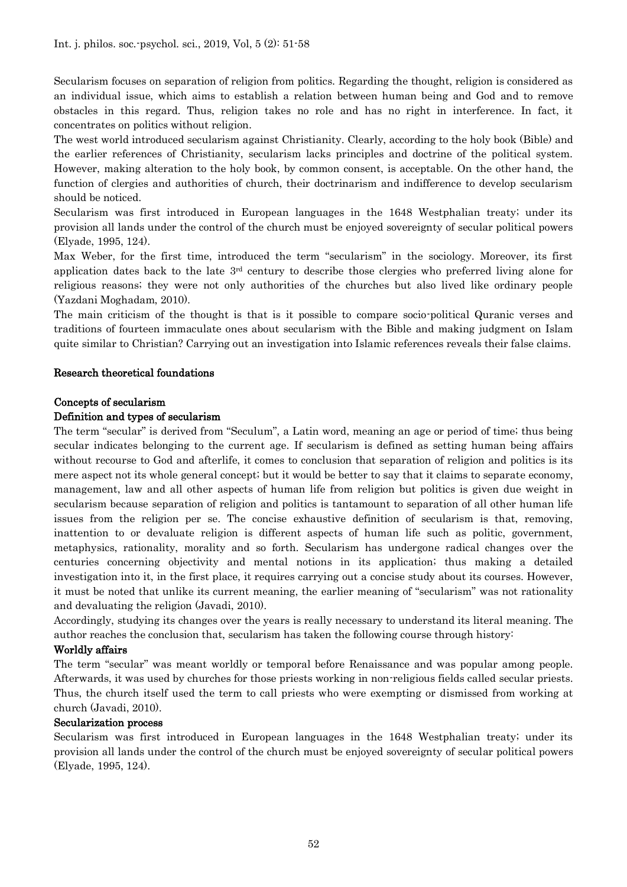Secularism focuses on separation of religion from politics. Regarding the thought, religion is considered as an individual issue, which aims to establish a relation between human being and God and to remove obstacles in this regard. Thus, religion takes no role and has no right in interference. In fact, it concentrates on politics without religion.

The west world introduced secularism against Christianity. Clearly, according to the holy book (Bible) and the earlier references of Christianity, secularism lacks principles and doctrine of the political system. However, making alteration to the holy book, by common consent, is acceptable. On the other hand, the function of clergies and authorities of church, their doctrinarism and indifference to develop secularism should be noticed.

Secularism was first introduced in European languages in the 1648 Westphalian treaty; under its provision all lands under the control of the church must be enjoyed sovereignty of secular political powers (Elyade, 1995, 124).

Max Weber, for the first time, introduced the term "secularism" in the sociology. Moreover, its first application dates back to the late 3rd century to describe those clergies who preferred living alone for religious reasons; they were not only authorities of the churches but also lived like ordinary people (Yazdani Moghadam, 2010).

The main criticism of the thought is that is it possible to compare socio-political Quranic verses and traditions of fourteen immaculate ones about secularism with the Bible and making judgment on Islam quite similar to Christian? Carrying out an investigation into Islamic references reveals their false claims.

#### Research theoretical foundations

#### Concepts of secularism

#### Definition and types of secularism

The term "secular" is derived from "Seculum", a Latin word, meaning an age or period of time; thus being secular indicates belonging to the current age. If secularism is defined as setting human being affairs without recourse to God and afterlife, it comes to conclusion that separation of religion and politics is its mere aspect not its whole general concept; but it would be better to say that it claims to separate economy, management, law and all other aspects of human life from religion but politics is given due weight in secularism because separation of religion and politics is tantamount to separation of all other human life issues from the religion per se. The concise exhaustive definition of secularism is that, removing, inattention to or devaluate religion is different aspects of human life such as politic, government, metaphysics, rationality, morality and so forth. Secularism has undergone radical changes over the centuries concerning objectivity and mental notions in its application; thus making a detailed investigation into it, in the first place, it requires carrying out a concise study about its courses. However, it must be noted that unlike its current meaning, the earlier meaning of "secularism" was not rationality and devaluating the religion (Javadi, 2010).

Accordingly, studying its changes over the years is really necessary to understand its literal meaning. The author reaches the conclusion that, secularism has taken the following course through history:

#### Worldly affairs

The term "secular" was meant worldly or temporal before Renaissance and was popular among people. Afterwards, it was used by churches for those priests working in non-religious fields called secular priests. Thus, the church itself used the term to call priests who were exempting or dismissed from working at church (Javadi, 2010).

#### Secularization process

Secularism was first introduced in European languages in the 1648 Westphalian treaty; under its provision all lands under the control of the church must be enjoyed sovereignty of secular political powers (Elyade, 1995, 124).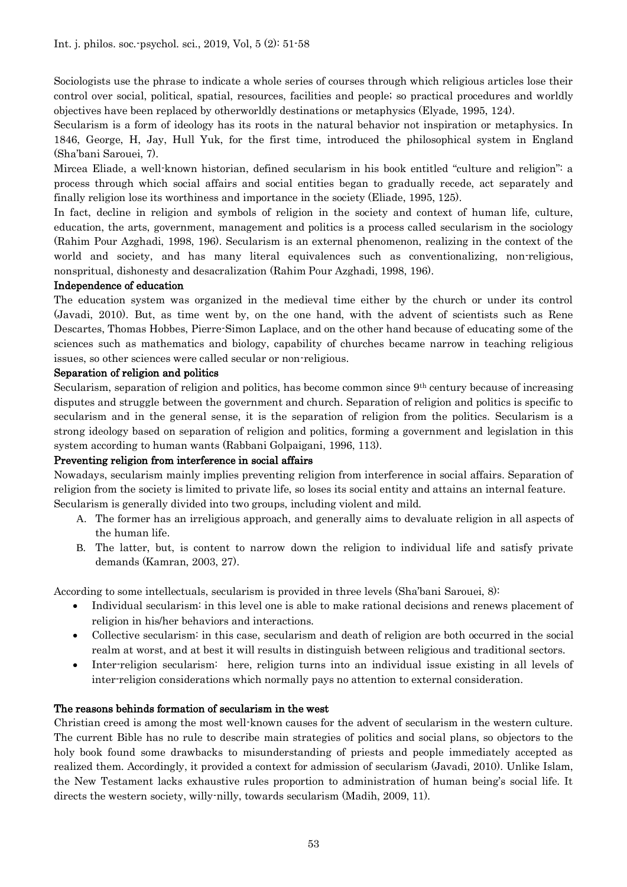Sociologists use the phrase to indicate a whole series of courses through which religious articles lose their control over social, political, spatial, resources, facilities and people; so practical procedures and worldly objectives have been replaced by otherworldly destinations or metaphysics (Elyade, 1995, 124).

Secularism is a form of ideology has its roots in the natural behavior not inspiration or metaphysics. In 1846, George, H, Jay, Hull Yuk, for the first time, introduced the philosophical system in England (Sha'bani Sarouei, 7).

Mircea Eliade, a well-known historian, defined secularism in his book entitled "culture and religion": a process through which social affairs and social entities began to gradually recede, act separately and finally religion lose its worthiness and importance in the society (Eliade, 1995, 125).

In fact, decline in religion and symbols of religion in the society and context of human life, culture, education, the arts, government, management and politics is a process called secularism in the sociology (Rahim Pour Azghadi, 1998, 196). Secularism is an external phenomenon, realizing in the context of the world and society, and has many literal equivalences such as conventionalizing, non-religious, nonspritual, dishonesty and desacralization (Rahim Pour Azghadi, 1998, 196).

#### Independence of education

The education system was organized in the medieval time either by the church or under its control (Javadi, 2010). But, as time went by, on the one hand, with the advent of scientists such as Rene Descartes, Thomas Hobbes, Pierre-Simon Laplace, and on the other hand because of educating some of the sciences such as mathematics and biology, capability of churches became narrow in teaching religious issues, so other sciences were called secular or non-religious.

#### Separation of religion and politics

Secularism, separation of religion and politics, has become common since 9th century because of increasing disputes and struggle between the government and church. Separation of religion and politics is specific to secularism and in the general sense, it is the separation of religion from the politics. Secularism is a strong ideology based on separation of religion and politics, forming a government and legislation in this system according to human wants (Rabbani Golpaigani, 1996, 113).

#### Preventing religion from interference in social affairs

Nowadays, secularism mainly implies preventing religion from interference in social affairs. Separation of religion from the society is limited to private life, so loses its social entity and attains an internal feature. Secularism is generally divided into two groups, including violent and mild.

- A. The former has an irreligious approach, and generally aims to devaluate religion in all aspects of the human life.
- B. The latter, but, is content to narrow down the religion to individual life and satisfy private demands (Kamran, 2003, 27).

According to some intellectuals, secularism is provided in three levels (Sha'bani Sarouei, 8):

- Individual secularism: in this level one is able to make rational decisions and renews placement of religion in his/her behaviors and interactions.
- Collective secularism: in this case, secularism and death of religion are both occurred in the social realm at worst, and at best it will results in distinguish between religious and traditional sectors.
- Inter-religion secularism: here, religion turns into an individual issue existing in all levels of inter-religion considerations which normally pays no attention to external consideration.

#### The reasons behinds formation of secularism in the west

Christian creed is among the most well-known causes for the advent of secularism in the western culture. The current Bible has no rule to describe main strategies of politics and social plans, so objectors to the holy book found some drawbacks to misunderstanding of priests and people immediately accepted as realized them. Accordingly, it provided a context for admission of secularism (Javadi, 2010). Unlike Islam, the New Testament lacks exhaustive rules proportion to administration of human being's social life. It directs the western society, willy-nilly, towards secularism (Madih, 2009, 11).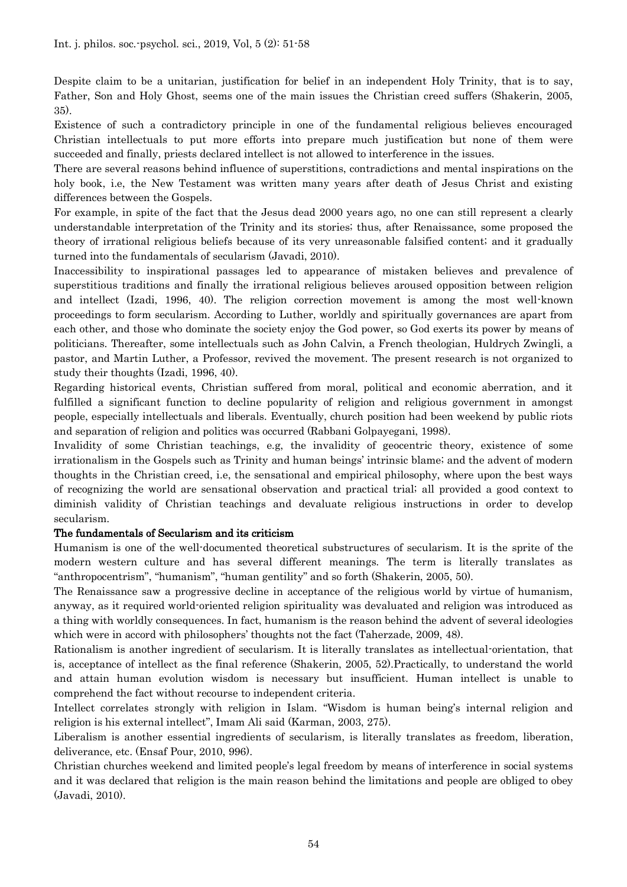Despite claim to be a unitarian, justification for belief in an independent Holy Trinity, that is to say, Father, Son and Holy Ghost, seems one of the main issues the Christian creed suffers (Shakerin, 2005, 35).

Existence of such a contradictory principle in one of the fundamental religious believes encouraged Christian intellectuals to put more efforts into prepare much justification but none of them were succeeded and finally, priests declared intellect is not allowed to interference in the issues.

There are several reasons behind influence of superstitions, contradictions and mental inspirations on the holy book, i.e, the New Testament was written many years after death of Jesus Christ and existing differences between the Gospels.

For example, in spite of the fact that the Jesus dead 2000 years ago, no one can still represent a clearly understandable interpretation of the Trinity and its stories; thus, after Renaissance, some proposed the theory of irrational religious beliefs because of its very unreasonable falsified content; and it gradually turned into the fundamentals of secularism (Javadi, 2010).

Inaccessibility to inspirational passages led to appearance of mistaken believes and prevalence of superstitious traditions and finally the irrational religious believes aroused opposition between religion and intellect (Izadi, 1996, 40). The religion correction movement is among the most well-known proceedings to form secularism. According to Luther, worldly and spiritually governances are apart from each other, and those who dominate the society enjoy the God power, so God exerts its power by means of politicians. Thereafter, some intellectuals such as John Calvin, a French theologian, Huldrych Zwingli, a pastor, and Martin Luther, a Professor, revived the movement. The present research is not organized to study their thoughts (Izadi, 1996, 40).

Regarding historical events, Christian suffered from moral, political and economic aberration, and it fulfilled a significant function to decline popularity of religion and religious government in amongst people, especially intellectuals and liberals. Eventually, church position had been weekend by public riots and separation of religion and politics was occurred (Rabbani Golpayegani, 1998).

Invalidity of some Christian teachings, e.g, the invalidity of geocentric theory, existence of some irrationalism in the Gospels such as Trinity and human beings' intrinsic blame; and the advent of modern thoughts in the Christian creed, i.e, the sensational and empirical philosophy, where upon the best ways of recognizing the world are sensational observation and practical trial; all provided a good context to diminish validity of Christian teachings and devaluate religious instructions in order to develop secularism.

#### The fundamentals of Secularism and its criticism

Humanism is one of the well-documented theoretical substructures of secularism. It is the sprite of the modern western culture and has several different meanings. The term is literally translates as "anthropocentrism", "humanism", "human gentility" and so forth (Shakerin, 2005, 50).

The Renaissance saw a progressive decline in acceptance of the religious world by virtue of humanism, anyway, as it required world-oriented religion spirituality was devaluated and religion was introduced as a thing with worldly consequences. In fact, humanism is the reason behind the advent of several ideologies which were in accord with philosophers' thoughts not the fact (Taherzade, 2009, 48).

Rationalism is another ingredient of secularism. It is literally translates as intellectual-orientation, that is, acceptance of intellect as the final reference (Shakerin, 2005, 52).Practically, to understand the world and attain human evolution wisdom is necessary but insufficient. Human intellect is unable to comprehend the fact without recourse to independent criteria.

Intellect correlates strongly with religion in Islam. "Wisdom is human being's internal religion and religion is his external intellect", Imam Ali said (Karman, 2003, 275).

Liberalism is another essential ingredients of secularism, is literally translates as freedom, liberation, deliverance, etc. (Ensaf Pour, 2010, 996).

Christian churches weekend and limited people's legal freedom by means of interference in social systems and it was declared that religion is the main reason behind the limitations and people are obliged to obey (Javadi, 2010).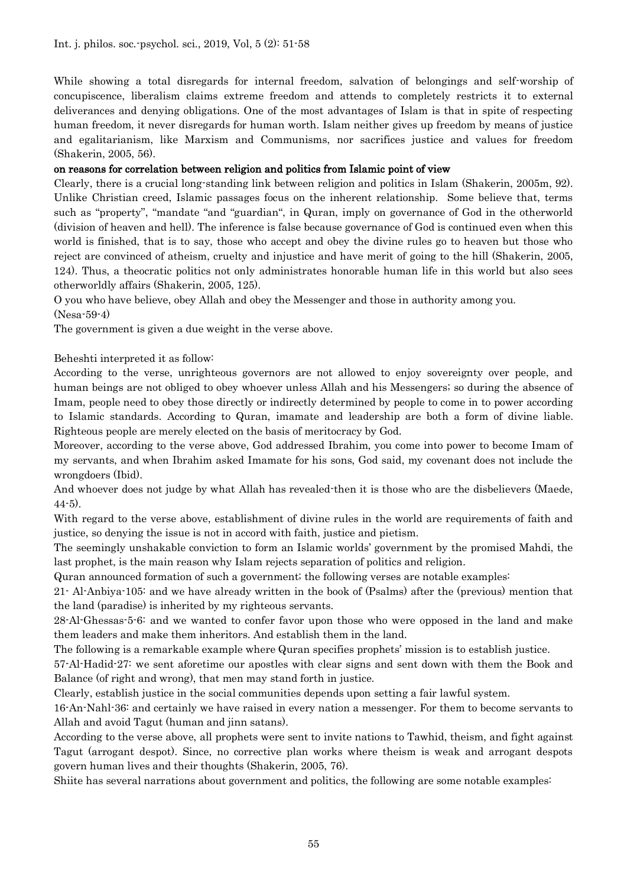While showing a total disregards for internal freedom, salvation of belongings and self-worship of concupiscence, liberalism claims extreme freedom and attends to completely restricts it to external deliverances and denying obligations. One of the most advantages of Islam is that in spite of respecting human freedom, it never disregards for human worth. Islam neither gives up freedom by means of justice and egalitarianism, like Marxism and Communisms, nor sacrifices justice and values for freedom (Shakerin, 2005, 56).

#### on reasons for correlation between religion and politics from Islamic point of view

Clearly, there is a crucial long-standing link between religion and politics in Islam (Shakerin, 2005m, 92). Unlike Christian creed, Islamic passages focus on the inherent relationship. Some believe that, terms such as "property", "mandate "and "guardian", in Quran, imply on governance of God in the otherworld (division of heaven and hell). The inference is false because governance of God is continued even when this world is finished, that is to say, those who accept and obey the divine rules go to heaven but those who reject are convinced of atheism, cruelty and injustice and have merit of going to the hill (Shakerin, 2005, 124). Thus, a theocratic politics not only administrates honorable human life in this world but also sees otherworldly affairs (Shakerin, 2005, 125).

O you who have believe, obey Allah and obey the Messenger and those in authority among you.

(Nesa-59-4)

The government is given a due weight in the verse above.

Beheshti interpreted it as follow:

According to the verse, unrighteous governors are not allowed to enjoy sovereignty over people, and human beings are not obliged to obey whoever unless Allah and his Messengers; so during the absence of Imam, people need to obey those directly or indirectly determined by people to come in to power according to Islamic standards. According to Quran, imamate and leadership are both a form of divine liable. Righteous people are merely elected on the basis of meritocracy by God.

Moreover, according to the verse above, God addressed Ibrahim, you come into power to become Imam of my servants, and when Ibrahim asked Imamate for his sons, God said, my covenant does not include the wrongdoers (Ibid).

And whoever does not judge by what Allah has revealed-then it is those who are the disbelievers (Maede, 44-5).

With regard to the verse above, establishment of divine rules in the world are requirements of faith and justice, so denying the issue is not in accord with faith, justice and pietism.

The seemingly unshakable conviction to form an Islamic worlds' government by the promised Mahdi, the last prophet, is the main reason why Islam rejects separation of politics and religion.

Quran announced formation of such a government; the following verses are notable examples:

21- Al-Anbiya-105: and we have already written in the book of (Psalms) after the (previous) mention that the land (paradise) is inherited by my righteous servants.

28-Al-Ghessas-5-6: and we wanted to confer favor upon those who were opposed in the land and make them leaders and make them inheritors. And establish them in the land.

The following is a remarkable example where Quran specifies prophets' mission is to establish justice.

57-Al-Hadid-27: we sent aforetime our apostles with clear signs and sent down with them the Book and Balance (of right and wrong), that men may stand forth in justice.

Clearly, establish justice in the social communities depends upon setting a fair lawful system.

16-An-Nahl-36: and certainly we have raised in every nation a messenger. For them to become servants to Allah and avoid Tagut (human and jinn satans).

According to the verse above, all prophets were sent to invite nations to Tawhid, theism, and fight against Tagut (arrogant despot). Since, no corrective plan works where theism is weak and arrogant despots govern human lives and their thoughts (Shakerin, 2005, 76).

Shiite has several narrations about government and politics, the following are some notable examples: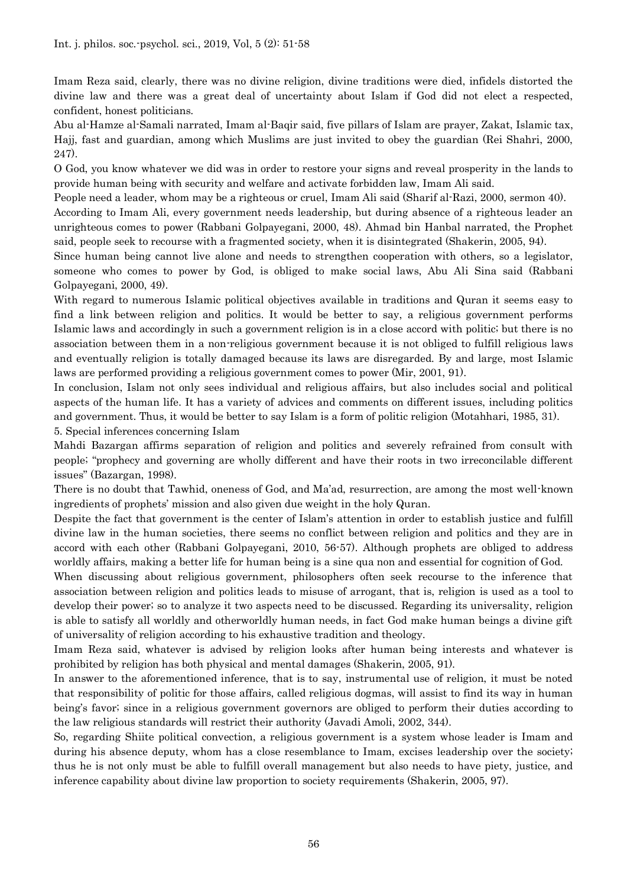Imam Reza said, clearly, there was no divine religion, divine traditions were died, infidels distorted the divine law and there was a great deal of uncertainty about Islam if God did not elect a respected, confident, honest politicians.

Abu al-Hamze al-Samali narrated, Imam al-Baqir said, five pillars of Islam are prayer, Zakat, Islamic tax, Hajj, fast and guardian, among which Muslims are just invited to obey the guardian (Rei Shahri, 2000, 247).

O God, you know whatever we did was in order to restore your signs and reveal prosperity in the lands to provide human being with security and welfare and activate forbidden law, Imam Ali said.

People need a leader, whom may be a righteous or cruel, Imam Ali said (Sharif al-Razi, 2000, sermon 40).

According to Imam Ali, every government needs leadership, but during absence of a righteous leader an unrighteous comes to power (Rabbani Golpayegani, 2000, 48). Ahmad bin Hanbal narrated, the Prophet said, people seek to recourse with a fragmented society, when it is disintegrated (Shakerin, 2005, 94).

Since human being cannot live alone and needs to strengthen cooperation with others, so a legislator, someone who comes to power by God, is obliged to make social laws, Abu Ali Sina said (Rabbani Golpayegani, 2000, 49).

With regard to numerous Islamic political objectives available in traditions and Quran it seems easy to find a link between religion and politics. It would be better to say, a religious government performs Islamic laws and accordingly in such a government religion is in a close accord with politic; but there is no association between them in a non-religious government because it is not obliged to fulfill religious laws and eventually religion is totally damaged because its laws are disregarded. By and large, most Islamic laws are performed providing a religious government comes to power (Mir, 2001, 91).

In conclusion, Islam not only sees individual and religious affairs, but also includes social and political aspects of the human life. It has a variety of advices and comments on different issues, including politics and government. Thus, it would be better to say Islam is a form of politic religion (Motahhari, 1985, 31).

5. Special inferences concerning Islam

Mahdi Bazargan affirms separation of religion and politics and severely refrained from consult with people; "prophecy and governing are wholly different and have their roots in two irreconcilable different issues" (Bazargan, 1998).

There is no doubt that Tawhid, oneness of God, and Ma'ad, resurrection, are among the most well-known ingredients of prophets' mission and also given due weight in the holy Quran.

Despite the fact that government is the center of Islam's attention in order to establish justice and fulfill divine law in the human societies, there seems no conflict between religion and politics and they are in accord with each other (Rabbani Golpayegani, 2010, 56-57). Although prophets are obliged to address worldly affairs, making a better life for human being is a sine qua non and essential for cognition of God.

When discussing about religious government, philosophers often seek recourse to the inference that association between religion and politics leads to misuse of arrogant, that is, religion is used as a tool to develop their power; so to analyze it two aspects need to be discussed. Regarding its universality, religion is able to satisfy all worldly and otherworldly human needs, in fact God make human beings a divine gift of universality of religion according to his exhaustive tradition and theology.

Imam Reza said, whatever is advised by religion looks after human being interests and whatever is prohibited by religion has both physical and mental damages (Shakerin, 2005, 91).

In answer to the aforementioned inference, that is to say, instrumental use of religion, it must be noted that responsibility of politic for those affairs, called religious dogmas, will assist to find its way in human being's favor; since in a religious government governors are obliged to perform their duties according to the law religious standards will restrict their authority (Javadi Amoli, 2002, 344).

So, regarding Shiite political convection, a religious government is a system whose leader is Imam and during his absence deputy, whom has a close resemblance to Imam, excises leadership over the society; thus he is not only must be able to fulfill overall management but also needs to have piety, justice, and inference capability about divine law proportion to society requirements (Shakerin, 2005, 97).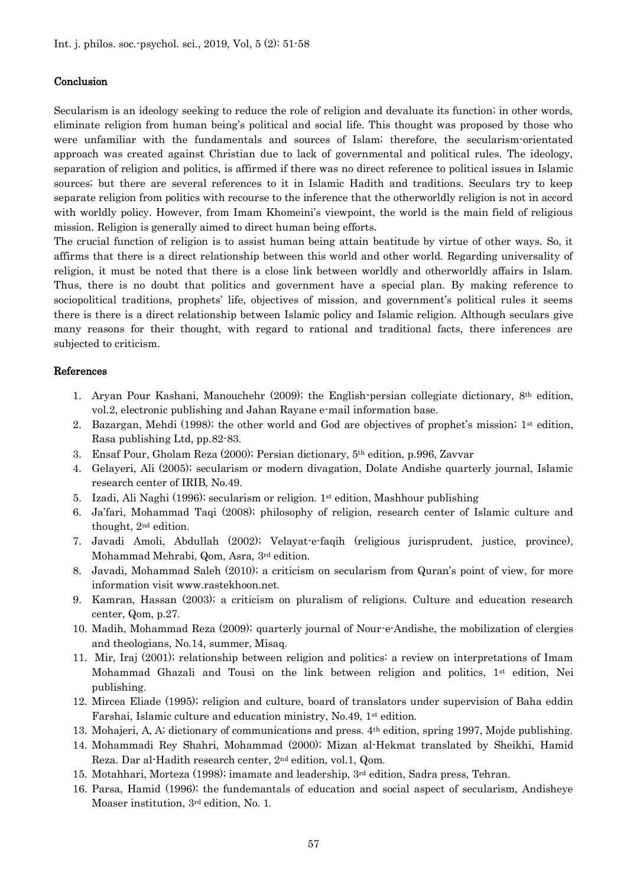#### Conclusion

Secularism is an ideology seeking to reduce the role of religion and devaluate its function; in other words, eliminate religion from human being's political and social life. This thought was proposed by those who were unfamiliar with the fundamentals and sources of Islam; therefore, the secularism-orientated approach was created against Christian due to lack of governmental and political rules. The ideology, separation of religion and politics, is affirmed if there was no direct reference to political issues in Islamic sources; but there are several references to it in Islamic Hadith and traditions. Seculars try to keep separate religion from politics with recourse to the inference that the otherworldly religion is not in accord with worldly policy. However, from Imam Khomeini's viewpoint, the world is the main field of religious mission. Religion is generally aimed to direct human being efforts.

The crucial function of religion is to assist human being attain beatitude by virtue of other ways. So, it affirms that there is a direct relationship between this world and other world. Regarding universality of religion, it must be noted that there is a close link between worldly and otherworldly affairs in Islam. Thus, there is no doubt that politics and government have a special plan. By making reference to sociopolitical traditions, prophets' life, objectives of mission, and government's political rules it seems there is there is a direct relationship between Islamic policy and Islamic religion. Although seculars give many reasons for their thought, with regard to rational and traditional facts, there inferences are subjected to criticism.

#### References

- 1. Aryan Pour Kashani, Manouchehr (2009); the English-persian collegiate dictionary, 8th edition, vol.2, electronic publishing and Jahan Rayane e-mail information base.
- 2. Bazargan, Mehdi (1998); the other world and God are objectives of prophet's mission; 1st edition, Rasa publishing Ltd, pp.82-83.
- 3. Ensaf Pour, Gholam Reza (2000); Persian dictionary, 5th edition, p.996, Zavvar
- 4. Gelayeri, Ali (2005); secularism or modern divagation, Dolate Andishe quarterly journal, Islamic research center of IRIB, No.49.
- 5. Izadi, Ali Naghi (1996); secularism or religion.  $1<sup>st</sup>$  edition, Mashhour publishing
- 6. Ja'fari, Mohammad Taqi (2008); philosophy of religion, research center of Islamic culture and thought, 2nd edition.
- 7. Javadi Amoli, Abdullah (2002); Velayat-e-faqih (religious jurisprudent, justice, province), Mohammad Mehrabi, Qom, Asra, 3rd edition.
- 8. Javadi, Mohammad Saleh (2010); a criticism on secularism from Quran's point of view, for more information visit [www.rastekhoon.net](http://www.rastekhoon.net/).
- 9. Kamran, Hassan (2003); a criticism on pluralism of religions. Culture and education research center, Qom, p.27.
- 10. Madih, Mohammad Reza (2009); quarterly journal of Nour-e-Andishe, the mobilization of clergies and theologians, No.14, summer, Misaq.
- 11. Mir, Iraj (2001); relationship between religion and politics: a review on interpretations of Imam Mohammad Ghazali and Tousi on the link between religion and politics, 1st edition, Nei publishing.
- 12. Mircea Eliade (1995); religion and culture, board of translators under supervision of Baha eddin Farshai, Islamic culture and education ministry, No.49, 1st edition.
- 13. Mohajeri, A, A; dictionary of communications and press. 4th edition, spring 1997, Mojde publishing.
- 14. Mohammadi Rey Shahri, Mohammad (2000); Mizan al-Hekmat translated by Sheikhi, Hamid Reza. Dar al-Hadith research center, 2nd edition, vol.1, Qom.
- 15. Motahhari, Morteza (1998); imamate and leadership, 3rd edition, Sadra press, Tehran.
- 16. Parsa, Hamid (1996); the fundemantals of education and social aspect of secularism, Andisheye Moaser institution, 3rd edition, No. 1.